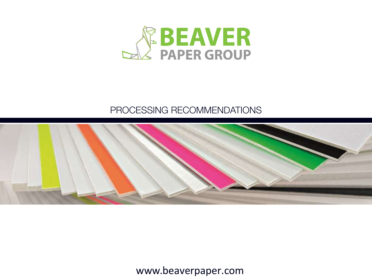

### PROCESSING RECOMMENDATIONS

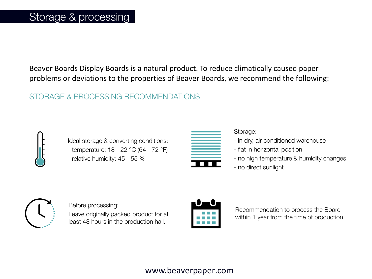Beaver Boards Display Boards is a natural product. To reduce climatically caused paper problems or deviations to the properties of Beaver Boards, we recommend the following:

### STORAGE & PROCESSING RECOMMENDATIONS



Ideal storage & converting conditions: - temperature: 18 - 22 °C (64 - 72 °F) - relative humidity: 45 - 55 %



#### Storage:

- in dry, air conditioned warehouse
- flat in horizontal position
- no high temperature & humidity changes
- no direct sunlight



Before processing:

Leave originally packed product for at least 48 hours in the production hall.



Recommendation to process the Board within 1 year from the time of production.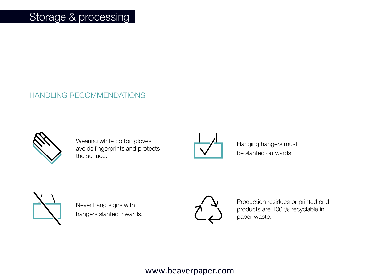### Storage & processing

#### HANDLING RECOMMENDATIONS



Wearing white cotton gloves avoids fingerprints and protects the surface.



Hanging hangers must be slanted outwards.



Never hang signs with hangers slanted inwards.



Production residues or printed end products are 100 % recyclable in paper waste.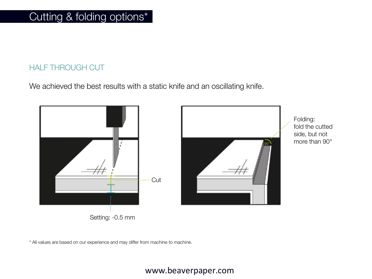### HALF THROUGH CUT

We achieved the best results with a static knife and an oscillating knife.



Setting: -0.5 mm



Folding: fold the cutted side, but not more than 90°

\* All values are based on our experience and may differ from machine to machine.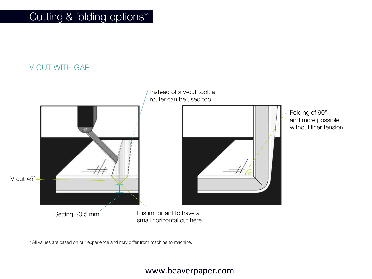## Cutting & folding options\*

V-CUT WITH GAP



\* All values are based on our experience and may differ from machine to machine.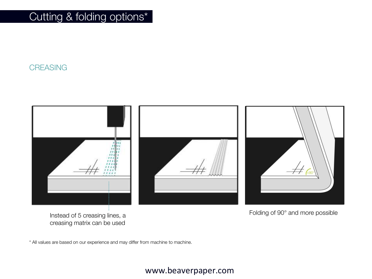Cutting & folding options\*

**CREASING** 



Instead of 5 creasing lines, a creasing matrix can be used

\* All values are based on our experience and may differ from machine to machine.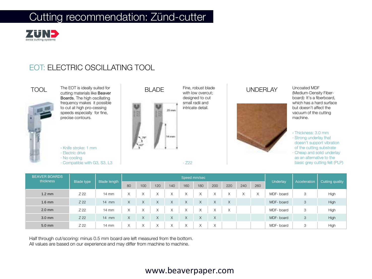

#### EOT: ELECTRIC OSCILLATING TOOL





cutting materials like Beaver Boards. The high oscillating frequency makes it possible to cut at high pro-cessing speeds especially for fine, precise contours.

· Knife stroke: 1 mm

- · Electric drive
- · No cooling
- · Compatible with G3, S3, L3



Fine, robust blade with low overcut: designed to cut small radii and intricate detail.



Uncoated MDF (Medium-Density Fiberboard): It's a fiberboard, which has a hard surface but doesn't affect the vacuum of the cutting machine.

· Thickness: 3.0 mm · Strong underlay that doesn't support vibration of the cutting substrate · Cheap and solid underlay as an alternative to the

basic grey cutting felt (PLP)

| <b>BEAVER BOARDS</b><br>thickness<br>Blade type |      | Blade length    |                   | Speed mm/sec |                          |                   |     |              |                          |                   |                |     |           |              | Cutting quality |
|-------------------------------------------------|------|-----------------|-------------------|--------------|--------------------------|-------------------|-----|--------------|--------------------------|-------------------|----------------|-----|-----------|--------------|-----------------|
|                                                 |      |                 | 80                | 100          | 120                      | 140               | 160 | 180          | 200                      | 220               | 240            | 260 | Underlay  | Acceleration |                 |
| $1.2 \text{ mm}$                                | Z 22 | $14 \text{ mm}$ | $\checkmark$<br>∧ |              | $\sqrt{}$                | $\sqrt{}$<br>Λ    |     | $\lambda$    | $\checkmark$<br>∧        | ⋏                 | $\lambda$<br>↗ | X   | MDF-board | 3            | High            |
| $1.6$ mm                                        | Z 22 | $14$ mm         | X                 | X            | $\times$                 | X                 | X   | X            | X                        | $\times$          |                |     | MDF-board | 3            | High            |
| $2.0$ mm                                        | Z 22 | $14 \text{ mm}$ | $\checkmark$<br>∧ | X            | $\checkmark$             | $\checkmark$<br>⌒ | X   | $\checkmark$ | $\checkmark$<br>∧        | $\checkmark$<br>л |                |     | MDF-board | 3            | High            |
| $3.0$ mm                                        | Z 22 | $14$ mm         | X                 | X            | $\times$                 | X                 | X   | X            | X                        |                   |                |     | MDF-board | 3            | High            |
| $5.0$ mm                                        | Z 22 | $14 \text{ mm}$ | $\checkmark$<br>⌒ | Χ            | $\checkmark$<br>$\wedge$ | $\checkmark$<br>⌒ | ∧   | $\checkmark$ | $\checkmark$<br>$\wedge$ |                   |                |     | MDF-board | 3            | High            |

· Z22

Half through cut/scoring: minus 0.5 mm board are left measured from the bottom. All values are based on our experience and may differ from machine to machine.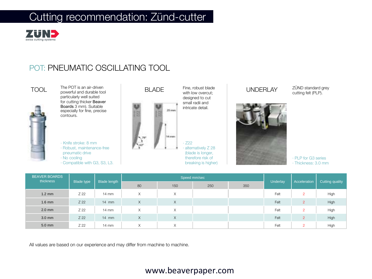

### POT: PNEUMATIC OSCILLATING TOOL



powerful and durable tool particularly well suited for cutting thicker Beaver Boards 3 mm). Suitable especially for fine, precise contours.

· Knife stroke: 8 mm · Robust, maintenance-free pneumatic drive · No cooling

· Compatible with G3, S3, L3.



Fine, robust blade with low overcut: designed to cut small radii and intricate detail.

alternatively Z 28 (blade is longer, therefore risk of breaking is higher)



ZÜND standard grey cutting felt (PLP).



· PLP for G3 series · Thickness: 3.0 mm

| <b>BEAVER BOARDS</b><br>thickness<br><b>Blade type</b> |      |                 |    | Speed mm/sec      |     |     |          | Cutting quality |      |
|--------------------------------------------------------|------|-----------------|----|-------------------|-----|-----|----------|-----------------|------|
|                                                        |      | Blade length    | 80 | 150               | 250 | 350 | Underlay | Acceleration    |      |
| $1.2 \text{ mm}$                                       | Z 22 | $14 \text{ mm}$ | X  | $\times$          |     |     | Felt     | $\overline{2}$  | High |
| $1.6$ mm                                               | Z 22 | $14$ mm         | X  | X                 |     |     | Felt     | $\overline{2}$  | High |
| $2.0$ mm                                               | Z 22 | $14 \text{ mm}$ | X  | X                 |     |     | Felt     | $\circ$         | High |
| $3.0$ mm                                               | Z 22 | $14$ mm         | X  | X                 |     |     | Felt     | $\overline{2}$  | High |
| 5.0 mm                                                 | Z 22 | 14 mm           | X  | $\checkmark$<br>⋏ |     |     | Felt     | $\overline{2}$  | High |

All values are based on our experience and may differ from machine to machine.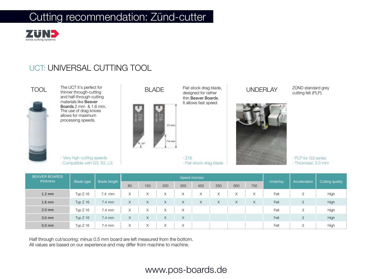

### UCT: UNIVERSAL CUTTING TOOL





thinner through-cutting and half-through-cutting materials like Beaver Boards.2 mm & 1.6 mm. The use of drag knives allows for maximum processing speeds.





TOOL The UCT it's perfect for **BLADE** Flat-stock drag blade, **UNDERLAY** Flat-stock drag blade, designed for rather thin Beaver Boards. It allows fast speed.

> · Z16 · Flat-stock drag blade



ZÜND standard grey cutting felt (PLP).



· PLP for G3 series · Thickness: 3.0 mm

| <b>BEAVER BOARDS</b><br>thickness |                   | <b>Blade length</b> |    | Speed mm/sec |                   |                   |          |        |                   |     |          |              |                 |
|-----------------------------------|-------------------|---------------------|----|--------------|-------------------|-------------------|----------|--------|-------------------|-----|----------|--------------|-----------------|
|                                   | <b>Blade type</b> |                     | 80 | 150          | 250               | 350               | 450      | 550    | 650               | 750 | Underlay | Acceleration | Cutting quality |
| $1.2 \text{ mm}$                  | Typ $Z$ 16        | 7.4 mm              | X  | X            | X                 | $\checkmark$<br>⋏ | X        | $\sim$ | $\checkmark$<br>∧ | X   | Felt     | 3            | High            |
| $1.6$ mm                          | Typ $Z$ 16        | 7.4 mm              | X  | X            | $\times$          | X                 | $\times$ | X      | X                 | X   | Felt     | 3            | High            |
| $2.0$ mm                          | Typ $Z$ 16        | 7.4 mm              | X  | X            | X                 | X                 |          |        |                   |     | Felt     | 3            | High            |
| $3.0$ mm                          | Typ $Z$ 16        | $7.4 \text{ mm}$    | X  | X            | X                 | X                 |          |        |                   |     | Felt     | 3            | High            |
| 5.0 mm                            | Typ $Z$ 16        | 7.4 mm              | X  | X            | $\checkmark$<br>⋏ | $\checkmark$<br>⋏ |          |        |                   |     | Felt     | 3            | High            |

Half through cut/scoring: minus 0.5 mm board are left measured from the bottom. All values are based on our experience and may differ from machine to machine.

### www.pos-boards.de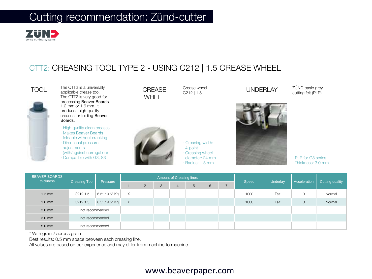

### CTT2: CREASING TOOL TYPE 2 - USING C212 | 1.5 CREASE WHEEL



TOOL applicable crease tool. CREASE The CTT2 is a universally  $CREASE$  Crease wheel  $CPEASE$  Crease wheel  $CPEASE$  UNDERLAY The CTT2 is very good for processing Beaver Boards 1.2 mm or 1.6 mm. It produces high-quality creases for folding Beaver Boards.

- · High quality clean creases · Makes Beaver Boards foldable without cracking
- · Directional pressure adiustments (with/against corrugation)
- · Compatible with G3, S3



Crease wheel C212 | 1.5



· Creasing width: 4-point · Creasing wheel diameter: 24 mm · Radius: 1.5 mm



· PLP for G3 series · Thickness: 3.0 mm

ZÜND basic grey cutting felt (PLP).

| <b>BEAVER BOARDS</b> | thickness<br><b>Creasing Tool</b> |                      |          |   |   | Amount of Creasing lines |   |   |       |          |              |                 |
|----------------------|-----------------------------------|----------------------|----------|---|---|--------------------------|---|---|-------|----------|--------------|-----------------|
|                      |                                   | Pressure             |          | 2 | 3 | 4                        | 5 | 6 | Speed | Underlay | Acceleration | Cutting quality |
| $1.2 \text{ mm}$     | C <sub>212</sub> 1.5              | $6.5^*$ / $9.5^*$ Kg | Χ        |   |   |                          |   |   | 1000  | Felt     | 3            | Normal          |
| $1.6$ mm             | C <sub>212</sub> 1.5              | $6.5^*$ / $9.5^*$ Kg | $\times$ |   |   |                          |   |   | 1000  | Felt     | 3            | Normal          |
| $2.0$ mm             | not recommended                   |                      |          |   |   |                          |   |   |       |          |              |                 |
| $3.0$ mm             | not recommended                   |                      |          |   |   |                          |   |   |       |          |              |                 |
| 5.0 mm               | not recommended                   |                      |          |   |   |                          |   |   |       |          |              |                 |

\* With grain / across grain

Best results: 0.5 mm space between each creasing line.

All values are based on our experience and may differ from machine to machine.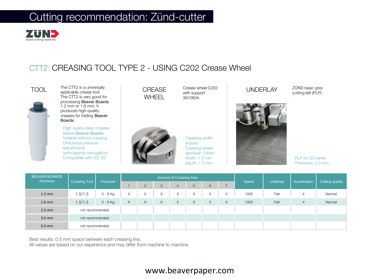

### CTT2: CREASING TOOL TYPE 2 - USING C202 Crease Wheel



TOOL applicable crease tool. CREASE The CTT2 is a universally CREASE Crease wheel C202 UNDERLAY The CTT2 is very good for processing Beaver Boards 1.2 mm or 1.6 mm. It produces high-quality creases for folding Beaver Boards.

- · High quality clean creases
- · Makes Beaver Boards foldable without cracking · Directional pressure
- adjustments (with/against corrugation) · Compatible with G3, S3



Crease wheel C202 with support 3910604.



· Creasing width: 4-point

· Creasing wheel

diameter: 24mm

· Width: 1.5 mm

· Depth: 1.5 mm



ZÜND basic grey cutting felt (PLP).

· PLP for G3 series · Thickness: 3.0 mm

| <b>BEAVER BOARDS</b><br>thickness |                      |            |                   |                   |           | Amount of Creasing lines |          |          |   |       |          |                |                 |
|-----------------------------------|----------------------|------------|-------------------|-------------------|-----------|--------------------------|----------|----------|---|-------|----------|----------------|-----------------|
|                                   | <b>Creasing Tool</b> | Pressure   |                   | $\overline{2}$    | 3         | $\overline{4}$           | 5        | 6        |   | Speed | Underlay | Acceleration   | Cutting quality |
| $1.2 \text{ mm}$                  | 1.5/1.5              | 5 - 8 Kg   | $\checkmark$<br>∧ | $\checkmark$<br>∧ | $\sqrt{}$ | X                        | X        | X        | X | 1000  | Felt     | 4              | Normal          |
| $1.6$ mm                          | 1.5/1.5              | $5 - 8$ Kg | X                 | $\times$          | $\times$  | X                        | $\times$ | $\times$ | X | 1000  | Felt     | $\overline{4}$ | Normal          |
| $2.0$ mm                          | not recommended      |            |                   |                   |           |                          |          |          |   |       |          |                |                 |
| $3.0$ mm                          | not recommended      |            |                   |                   |           |                          |          |          |   |       |          |                |                 |
| 5.0 mm                            | not recommended      |            |                   |                   |           |                          |          |          |   |       |          |                |                 |

Best results: 0.5 mm space between each creasing line.

All values are based on our experience and may differ from machine to machine.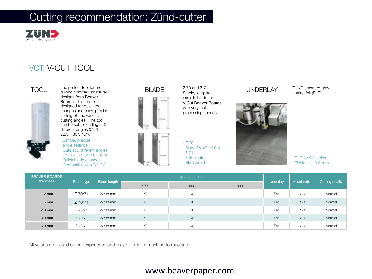

### VCT: V-CUT TOOL





 $\begin{array}{ccc} \text{TOOL} & \text{The perfect tool for pro-} \\ \text{ducing complex structural} & & \text{BLADE} & \text{Stable long-life} \end{array} \qquad \begin{array}{ccc} \text{UNDERLAY} \end{array}$ ducing complex structural designs from Beaver Boards. This tool is designed for quick tool changes and easy, precise setting of the various cutting angles. The tool can be set for cutting at 5 different angles (0°, 15°, 22.5°, 30°, 45°).

> · Simple, precise angle settings · Cuts at 5 different angles (0°, 15°, 22.5°, 30°, 45°) · Quick blade changes · Compatible with G3, S3



Z 70 and Z 71: Stable, long-life carbide blade for V-Cut Beaver Boards with very fast processing speeds.

· Z 70 · Blade for 45° V-Cut  $\cdot$  Z 71 · Knife material: HM/Carbide



ZÜND standard grey cutting felt (PLP).



· PLP for G3 series · Thickness: 3.0 mm

| <b>BEAVER BOARDS</b><br>thickness<br><b>Blade type</b> |         |              | Speed mm/sec |          |     |          | Cutting quality |        |
|--------------------------------------------------------|---------|--------------|--------------|----------|-----|----------|-----------------|--------|
|                                                        |         | Blade length | 400          | 600      | 800 | Underlay | Acceleration    |        |
| $1.2 \text{ mm}$                                       | Z 70/71 | 27/38 mm     | X            | X        |     | Felt     | $3 - 4$         | Normal |
| $1.6$ mm                                               | Z 70/71 | 27/38 mm     | X            | X        |     | Felt     | $3 - 4$         | Normal |
| $2.0$ mm                                               | Z 70/71 | 27/38 mm     | X            | $\times$ |     | Felt     | $3 - 4$         | Normal |
| $3.0$ mm                                               | Z 70/71 | 27/38 mm     | X            | $\times$ |     | Felt     | $3 - 4$         | Normal |
| $5.0$ mm                                               | Z 70/71 | 27/38 mm     | X            | X        |     | Felt     | $3 - 4$         | Normal |

All values are based on our experience and may differ from machine to machine.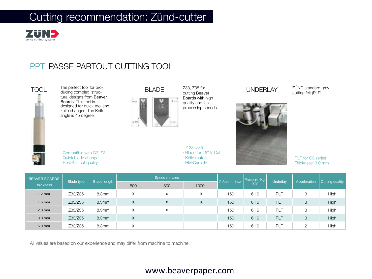

#### PPT: PASSE PARTOUT CUTTING TOOL



| <b>BEAVER BOARDS</b> | <b>Blade type</b> |              |     | Speed mm/sec      |      |              | Pressure (Kg) |                 |              |                 |
|----------------------|-------------------|--------------|-----|-------------------|------|--------------|---------------|-----------------|--------------|-----------------|
| thickness            |                   | Blade length | 500 | 800               | 1000 | Z-Speed down | XY            | <b>Underlay</b> | Acceleration | Cutting quality |
| $1.2 \text{ mm}$     | Z33/Z35           | 8.3mm        | X   | X                 | X    | 150          | $616$         | <b>PLP</b>      | 3            | High            |
| $1.6$ mm             | Z33/Z35           | 8.3mm        | X   | $\vee$<br>∧       | X    | 150          | 616           | <b>PLP</b>      | 3            | High            |
| $2.0$ mm             | Z33/Z35           | 8.3mm        | X   | $\checkmark$<br>∧ |      | 150          | 616           | <b>PLP</b>      | 3            | High            |
| $3.0$ mm             | Z33/Z35           | 8.3mm        | X   |                   |      | 150          | $616$         | <b>PLP</b>      | 3            | <b>High</b>     |
| $5.0$ mm             | Z33/Z35           | 8.3mm        | X   |                   |      | 150          | 616           | <b>PLP</b>      | C            | High            |

All values are based on our experience and may differ from machine to machine.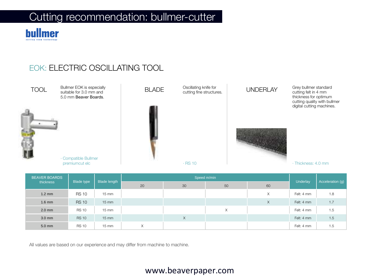

### EOK: ELECTRIC OSCILLATING TOOL



| <b>BEAVER BOARDS</b><br>thickness |              | <b>Blade length</b> |    |    | Speed m/min |    |            | Acceleration (g) |
|-----------------------------------|--------------|---------------------|----|----|-------------|----|------------|------------------|
|                                   | Blade type   |                     | 20 | 30 | 50          | 60 | Underlay   |                  |
| $1.2 \text{ mm}$                  | <b>RS 10</b> | 15 mm               |    |    |             | X  | Felt: 4 mm | 1.8              |
| $1.6$ mm                          | <b>RS 10</b> | $15 \, \text{mm}$   |    |    |             | X  | Felt: 4 mm | 1.7              |
| $2.0$ mm                          | <b>RS 10</b> | $15 \text{ mm}$     |    |    | $\times$    |    | Felt: 4 mm | 1.5              |
| $3.0$ mm                          | <b>RS 10</b> | $15 \, \text{mm}$   |    | X  |             |    | Felt: 4 mm | 1.5              |
| 5.0 mm                            | <b>RS 10</b> | $15 \text{ mm}$     | X  |    |             |    | Felt: 4 mm | 1.5              |

All values are based on our experience and may differ from machine to machine.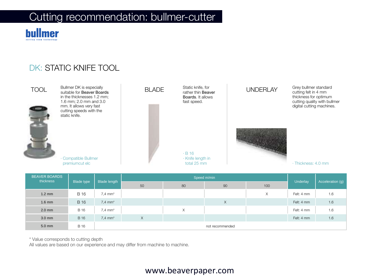

### DK: STATIC KNIFE TOOL



| <b>BEAVER BOARDS</b><br>thickness<br><b>Blade type</b> |             | <b>Blade length</b>   |    |    |                 | Acceleration (g) |            |     |
|--------------------------------------------------------|-------------|-----------------------|----|----|-----------------|------------------|------------|-----|
|                                                        |             |                       | 50 | 80 | 90              | 100              | Underlay   |     |
| $1.2 \text{ mm}$                                       | <b>B</b> 16 | $7,4$ mm <sup>*</sup> |    |    |                 | Χ                | Felt: 4 mm | 1.6 |
| $1.6$ mm                                               | <b>B</b> 16 | $7.4$ mm <sup>*</sup> |    |    | X               |                  | Felt: 4 mm | 1.6 |
| $2.0$ mm                                               | <b>B</b> 16 | $7,4$ mm <sup>*</sup> |    | X  |                 |                  | Felt: 4 mm | 1.6 |
| $3.0$ mm                                               | <b>B</b> 16 | $7.4$ mm <sup>*</sup> | X  |    |                 |                  | Felt: 4 mm | 1.6 |
| 5.0 mm                                                 | <b>B</b> 16 |                       |    |    | not recommended |                  |            |     |

\* Value corresponds to cutting depth

All values are based on our experience and may differ from machine to machine.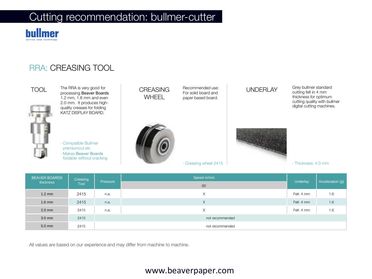

### RRA: CREASING TOOL



TOOL The REA is very good for<br>processing Beaver Boards [10] N.O. ISLAMING The RRA is very good for **CREASING** Recommended use: **UNDERLAY** 1.2 mm, 1.6 mm and even 2.0 mm. It produces highquality creases for folding KATZ DISPLAY BOARD.

> · Compatible Bullmer premiumcut elc · Makes Beaver Boards foldable without cracking



**WHFFL** 

Recommended use: For solid board and paper based board.

· Creasing wheel 2415

Grey bullmer standard cutting felt in 4 mm thickness for optimum cutting quality with bullmer digital cutting machines.



· Thickness: 4.0 mm

| <b>BEAVER BOARDS</b> | Creasing<br>thickness |          | Speed m/min     |                 |                  |
|----------------------|-----------------------|----------|-----------------|-----------------|------------------|
|                      | Tool                  | Pressure | 60              | <b>Underlay</b> | Acceleration (g) |
| $1.2 \text{ mm}$     | 2415                  | n.a.     | X               | Felt: 4 mm      | 1.6              |
| $1.6$ mm             | 2415                  | n.a.     | X               | Felt: 4 mm      | 1.6              |
| $2.0$ mm             | 2415                  | n.a.     | X               | Felt: 4 mm      | 1.6              |
| $3.0$ mm             | 2415                  |          | not recommended |                 |                  |
| 5.0 mm               | 2415                  |          | not recommended |                 |                  |

All values are based on our experience and may differ from machine to machine.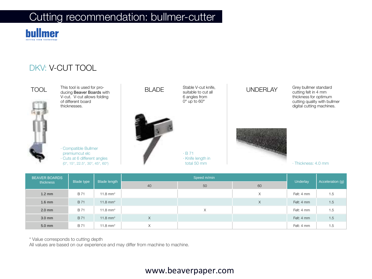

### DKV: V-CUT TOOL



TOOL BLADE UNDERLAY This tool is used for producing Beaver Boards with V-cut. V-cut allows folding of different board thicknesses.

· Compatible Bullmer premiumcut elc · Cuts at 6 different angles (0°, 15°, 22.5°, 30°, 45°, 60°)



Stable V-cut knife, suitable to cut all 6 angles from 0° up to 60°

total 50 mm

Grey bullmer standard cutting felt in 4 mm thickness for optimum cutting quality with bullmer digital cutting machines.



· Thickness: 4.0 mm

| <b>BEAVER BOARDS</b><br>thickness |                   | Blade length           |          |    |    | Acceleration (g) |     |
|-----------------------------------|-------------------|------------------------|----------|----|----|------------------|-----|
|                                   | <b>Blade type</b> |                        | 40       | 50 | 60 | <b>Underlay</b>  |     |
| $1.2 \text{ mm}$                  | B 71              | 11.8 mm*               |          |    | X  | Felt: 4 mm       | 1.5 |
| $1.6$ mm                          | <b>B</b> 71       | 11.8 $mm*$             |          |    | X  | Felt: 4 mm       | 1.5 |
| $2.0$ mm                          | <b>B</b> 71       | 11.8 mm*               |          | X  |    | Felt: 4 mm       | 1.5 |
| 3.0 mm                            | <b>B</b> 71       | $11.8$ mm <sup>*</sup> | $\times$ |    |    | Felt: 4 mm       | 1.5 |
| 5.0 mm                            | <b>B</b> 71       | 11.8 mm*               | X        |    |    | Felt: 4 mm       | 1.5 |

\* Value corresponds to cutting depth

All values are based on our experience and may differ from machine to machine.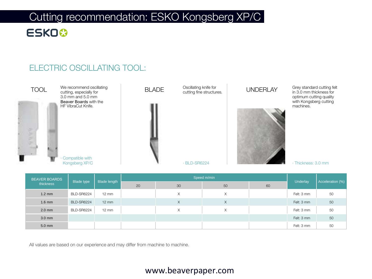# Cutting recommendation: ESKO Kongsberg XP/C

## **ESKO&**

### ELECTRIC OSCILLATING TOOL:



| <b>BEAVER BOARDS</b> |                   | <b>Blade length</b> |    | Speed m/min |    | <b>Underlay</b> |            |                  |
|----------------------|-------------------|---------------------|----|-------------|----|-----------------|------------|------------------|
| thickness            | <b>Blade type</b> |                     | 20 | 30          | 50 | 60              |            | Acceleration (%) |
| $1.2 \text{ mm}$     | BLD-SR6224        | $12 \text{ mm}$     |    | $\times$    | X  |                 | Felt: 3 mm | 50               |
| $1.6$ mm             | BLD-SR6224        | $12 \, \text{mm}$   |    | $\times$    | X  |                 | Felt: 3 mm | 50               |
| $2.0$ mm             | BLD-SR6224        | $12 \text{ mm}$     |    | $\times$    | Χ  |                 | Felt: 3 mm | 50               |
| $3.0$ mm             |                   |                     |    |             |    |                 | Felt: 3 mm | 50               |
| 5.0 mm               |                   |                     |    |             |    |                 | Felt: 3 mm | 50               |

All values are based on our experience and may differ from machine to machine.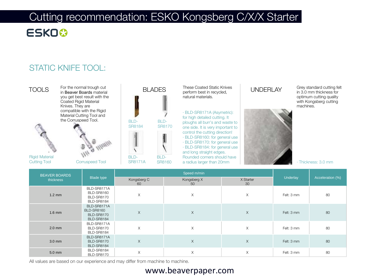### Cutting recommendation: ESKO Kongsberg C/X/X Starter **ESKO&**

### STATIC KNIFE TOOL:



in Beaver Boards material you get best result with the Coated Rigid Material Knives. They are compatible with the Rigid Material Cutting Tool and the Corruspeed Tool.





Rigid Material Cutting Tool Corruspeed Tool





 $\begin{array}{ccc} \text{TOOLS} & \text{For the normal trough cut} \ \text{in} & \text{Beaver Board's material} \end{array} \begin{array}{ccc} \text{BLADES} & \text{These Coated Static Knives} \ \text{perform best in received.} \end{array} \begin{array}{ccc} \text{UNDERLAY} \end{array}$ These Coated Static Knives perform best in recycled, natural materials.

> · BLD-SR8171A (Asymetric): for high detailed cutting. It ploughs all burr's and waste to one side. It is very important to control the cutting direction! · BLD-SR8160: for general use · BLD-SR8170: for general use · BLD-SR8184: for general use and long straight edges. Rounded corners should have a radius larger than 20mm





Grey standard cutting felt in 3.0 mm thickness for optimum cutting quality with Kongsberg cutting machines.

· Thickness: 3.0 mm

| <b>BEAVER BOARDS</b> | <b>Blade type</b>                                                          |                   |                   |                 |            |                  |
|----------------------|----------------------------------------------------------------------------|-------------------|-------------------|-----------------|------------|------------------|
| thickness            |                                                                            | Kongsberg C<br>60 | Kongsberg X<br>50 | X Starter<br>30 | Underlay   | Acceleration (%) |
| $1.2 \text{ mm}$     | BLD-SR8171A<br><b>BLD-SR8160</b><br><b>BLD-SR8170</b><br><b>BLD-SR8184</b> | $\times$          | X                 | $\times$        | Felt: 3 mm | 80               |
| $1.6$ mm             | BLD-SR8171A<br><b>BLD-SR8160</b><br><b>BLD-SR8170</b><br><b>BLD-SR8184</b> | $\times$          | $\mathsf X$       | $\times$        | Felt: 3 mm | 80               |
| $2.0$ mm             | BLD-SR8171A<br><b>BLD-SR8170</b><br><b>BLD-SR8184</b>                      | $\times$          | X                 | $\times$        | Felt: 3 mm | 80               |
| $3.0$ mm             | BLD-SR8171A<br><b>BLD-SR8170</b><br><b>BLD-SR8184</b>                      | X                 | X                 | $\times$        | Felt: 3 mm | 80               |
| 5.0 mm               | <b>BLD-SR8184</b><br><b>BLD-SR8170</b>                                     | Χ                 | X                 | Χ               | Felt: 3 mm | 80               |

All values are based on our experience and may differ from machine to machine.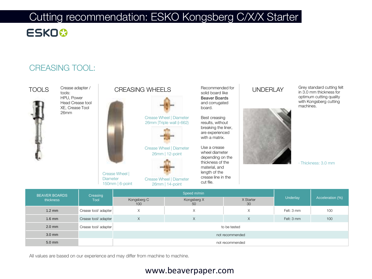### Cutting recommendation: ESKO Kongsberg C/X/X Starter **ESKO&**

### CREASING TOOL:



| <b>BEAVER BOARDS</b><br>thickness | Creasing<br>Tool     |                    |                   |                 |            |                  |  |  |  |  |  |
|-----------------------------------|----------------------|--------------------|-------------------|-----------------|------------|------------------|--|--|--|--|--|
|                                   |                      | Kongsberg C<br>100 | Kongsberg X<br>50 | X Starter<br>30 | Underlay   | Acceleration (%) |  |  |  |  |  |
| $1.2 \text{ mm}$                  | Crease tool/adapter  | X                  | X                 | X               | Felt: 3 mm | 100              |  |  |  |  |  |
| $1.6$ mm                          | Crease tool/ adapter | X                  | X                 | X               | Felt: 3 mm | 100              |  |  |  |  |  |
| $2.0$ mm                          | Crease tool/ adapter |                    |                   |                 |            |                  |  |  |  |  |  |
| $3.0 \text{ mm}$                  |                      | not recommended    |                   |                 |            |                  |  |  |  |  |  |
| $5.0$ mm                          |                      |                    | not recommended   |                 |            |                  |  |  |  |  |  |

All values are based on our experience and may differ from machine to machine.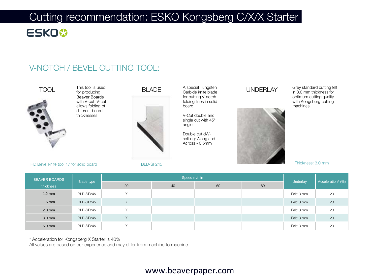# Cutting recommendation: ESKO Kongsberg C/X/X Starter

### **ESKO&**

### V-NOTCH / BEVEL CUTTING TOOL:



for producing Beaver Boards with V-cut. V-cut allows folding of different board thicknesses.



A special Tungsten Carbide knife blade for cutting V-notch folding lines in solid board.

V-Cut double and single cut with 45° angle.

Double cut dWsetting: Along and Across - 0.5mm



Grey standard cutting felt in 3.0 mm thickness for optimum cutting quality with Kongsberg cutting machines.

HD Bevel knife tool 17 for solid board

#### · Thickness: 3.0 mm

| <b>BEAVER BOARDS</b> |            |             |    |    |    |            |                   |
|----------------------|------------|-------------|----|----|----|------------|-------------------|
| thickness            | Blade type | 20          | 40 | 60 | 80 | Underlay   | Acceleration* (%) |
| $1.2 \text{ mm}$     | BLD-SF245  | X           |    |    |    | Felt: 3 mm | 20                |
| $1.6$ mm             | BLD-SF245  | X           |    |    |    | Felt: 3 mm | 20                |
| $2.0$ mm             | BLD-SF245  | X           |    |    |    | Felt: 3 mm | 20                |
| $3.0$ mm             | BLD-SF245  | $\times$    |    |    |    | Felt: 3 mm | 20                |
| $5.0$ mm             | BLD-SF245  | $\vee$<br>⋏ |    |    |    | Felt: 3 mm | 20                |

\* Acceleration for Kongsberg X Starter is 40%

All values are based on our experience and may differ from machine to machine.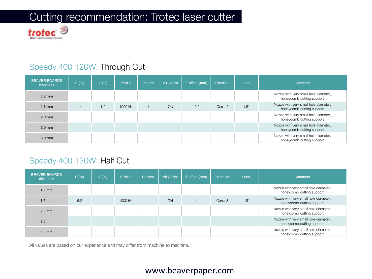### Cutting recommendation: Trotec laser cutter



### Speedy 400 120W: Through Cut

| <b>BEAVER BOARDS</b><br>thickness | P(% ) | V(% ) | PPI/Hz  | Passes | <b>Air Assist</b> | Z-offset (mm) | Extension  | <b>Lens</b> | Comment                                                            |
|-----------------------------------|-------|-------|---------|--------|-------------------|---------------|------------|-------------|--------------------------------------------------------------------|
| $1.2 \text{ mm}$                  |       |       |         |        |                   |               |            |             | Nozzle with very small hole diameter,<br>honeycomb cutting support |
| $1.6$ mm                          | 14    | 1.2   | 1000 Hz |        | ON                | $-0.2$        | Corr.: $5$ | $1.5$ "     | Nozzle with very small hole diameter,<br>honeycomb cutting support |
| $2.0$ mm                          |       |       |         |        |                   |               |            |             | Nozzle with very small hole diameter,<br>honeycomb cutting support |
| $3.0 \text{ mm}$                  |       |       |         |        |                   |               |            |             | Nozzle with very small hole diameter,<br>honeycomb cutting support |
| $5.0$ mm                          |       |       |         |        |                   |               |            |             | Nozzle with very small hole diameter,<br>honeycomb cutting support |

#### Speedy 400 120W: Half Cut

| <b>BEAVER BOARDS</b><br>thickness | P(% ) | V(% ) | PPI/Hz  | Passes | <b>Air Assist</b> | Z-offset (mm) | Extension | Lens | Comment                                                            |
|-----------------------------------|-------|-------|---------|--------|-------------------|---------------|-----------|------|--------------------------------------------------------------------|
| $1.2 \text{ mm}$                  |       |       |         |        |                   |               |           |      | Nozzle with very small hole diameter,<br>honeycomb cutting support |
| $1.6$ mm                          | 6.2   |       | 1000 Hz |        | <b>ON</b>         |               | Corr.: 8  | 1.5" | Nozzle with very small hole diameter,<br>honeycomb cutting support |
| $2.0$ mm                          |       |       |         |        |                   |               |           |      | Nozzle with very small hole diameter,<br>honeycomb cutting support |
| $3.0 \text{ mm}$                  |       |       |         |        |                   |               |           |      | Nozzle with very small hole diameter,<br>honeycomb cutting support |
| $5.0$ mm                          |       |       |         |        |                   |               |           |      | Nozzle with very small hole diameter,<br>honeycomb cutting support |

All values are based on our experience and may differ from machine to machine.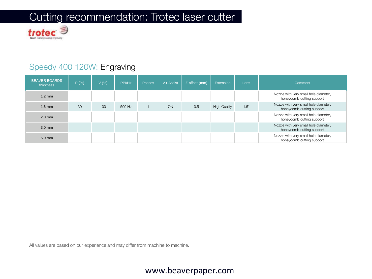## Cutting recommendation: Trotec laser cutter



### Speedy 400 120W: Engraving

| <b>BEAVER BOARDS</b><br>thickness | P(% ) | V(%) | PPI/Hz | Passes | <b>Air Assist</b> | Z-offset (mm) | <b>Extension</b>    | Lens    | Comment                                                            |
|-----------------------------------|-------|------|--------|--------|-------------------|---------------|---------------------|---------|--------------------------------------------------------------------|
| $1.2 \text{ mm}$                  |       |      |        |        |                   |               |                     |         | Nozzle with very small hole diameter,<br>honeycomb cutting support |
| $1.6$ mm                          | 30    | 100  | 500 Hz |        | ON                | 0.5           | <b>High Quality</b> | $1.5$ " | Nozzle with very small hole diameter,<br>honeycomb cutting support |
| $2.0$ mm                          |       |      |        |        |                   |               |                     |         | Nozzle with very small hole diameter,<br>honeycomb cutting support |
| $3.0$ mm                          |       |      |        |        |                   |               |                     |         | Nozzle with very small hole diameter,<br>honeycomb cutting support |
| $5.0$ mm                          |       |      |        |        |                   |               |                     |         | Nozzle with very small hole diameter,<br>honeycomb cutting support |

All values are based on our experience and may differ from machine to machine.